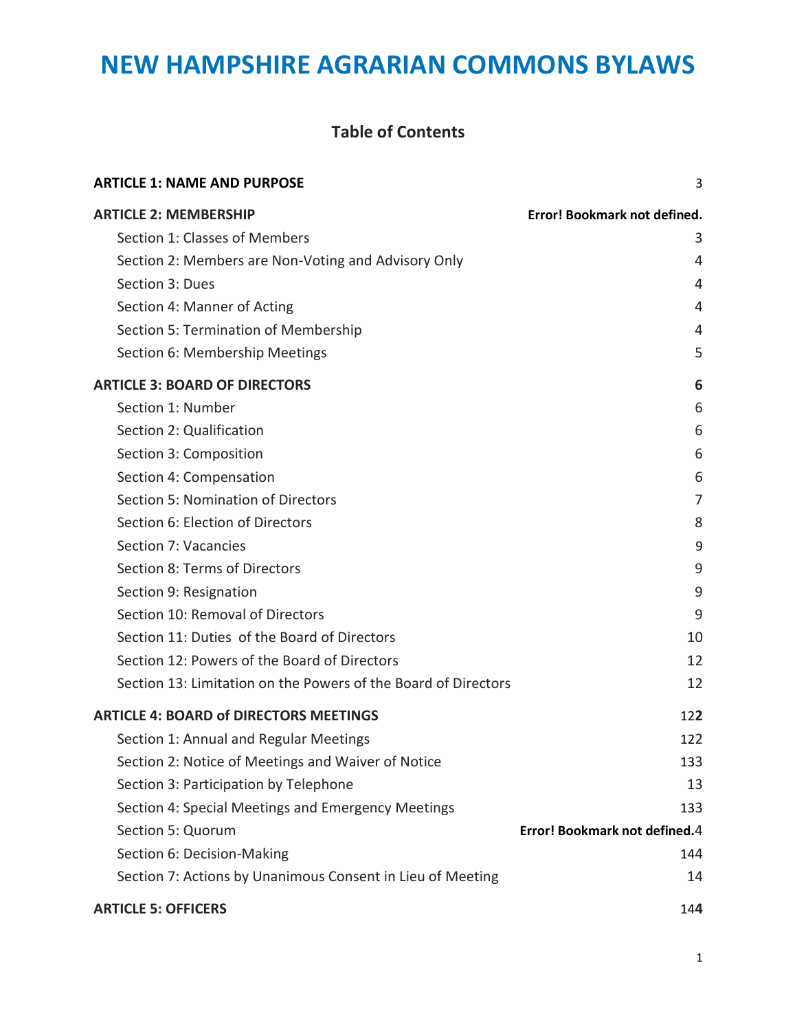### **Table of Contents**

| <b>ARTICLE 1: NAME AND PURPOSE</b>                             | 3                                    |
|----------------------------------------------------------------|--------------------------------------|
| <b>ARTICLE 2: MEMBERSHIP</b>                                   | Error! Bookmark not defined.         |
| Section 1: Classes of Members                                  | 3                                    |
| Section 2: Members are Non-Voting and Advisory Only            | 4                                    |
| Section 3: Dues                                                | 4                                    |
| Section 4: Manner of Acting                                    | 4                                    |
| Section 5: Termination of Membership                           | 4                                    |
| Section 6: Membership Meetings                                 | 5                                    |
| <b>ARTICLE 3: BOARD OF DIRECTORS</b>                           | 6                                    |
| Section 1: Number                                              | 6                                    |
| Section 2: Qualification                                       | 6                                    |
| Section 3: Composition                                         | 6                                    |
| Section 4: Compensation                                        | 6                                    |
| Section 5: Nomination of Directors                             | 7                                    |
| Section 6: Election of Directors                               | 8                                    |
| Section 7: Vacancies                                           | 9                                    |
| Section 8: Terms of Directors                                  | 9                                    |
| Section 9: Resignation                                         | 9                                    |
| Section 10: Removal of Directors                               | 9                                    |
| Section 11: Duties of the Board of Directors                   | 10                                   |
| Section 12: Powers of the Board of Directors                   | 12                                   |
| Section 13: Limitation on the Powers of the Board of Directors | 12                                   |
| <b>ARTICLE 4: BOARD of DIRECTORS MEETINGS</b>                  | 122                                  |
| Section 1: Annual and Regular Meetings                         | 122                                  |
| Section 2: Notice of Meetings and Waiver of Notice             | 133                                  |
| Section 3: Participation by Telephone                          | 13                                   |
| Section 4: Special Meetings and Emergency Meetings             | 133                                  |
| Section 5: Quorum                                              | <b>Error! Bookmark not defined.4</b> |
| Section 6: Decision-Making                                     | 144                                  |
| Section 7: Actions by Unanimous Consent in Lieu of Meeting     | 14                                   |
| <b>ARTICLE 5: OFFICERS</b>                                     | 144                                  |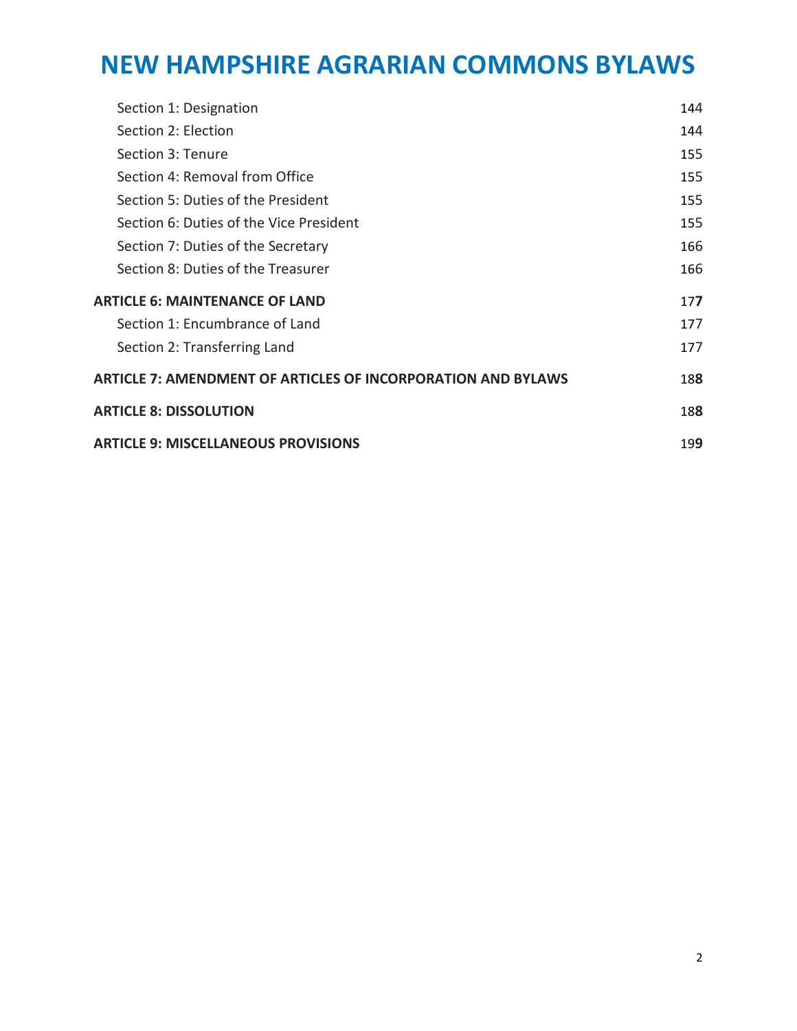| Section 1: Designation                                       | 144 |
|--------------------------------------------------------------|-----|
| Section 2: Election                                          | 144 |
| Section 3: Tenure                                            | 155 |
| Section 4: Removal from Office                               | 155 |
| Section 5: Duties of the President                           | 155 |
| Section 6: Duties of the Vice President                      | 155 |
| Section 7: Duties of the Secretary                           | 166 |
| Section 8: Duties of the Treasurer                           | 166 |
| <b>ARTICLE 6: MAINTENANCE OF LAND</b>                        | 177 |
| Section 1: Encumbrance of Land                               | 177 |
| Section 2: Transferring Land                                 | 177 |
| ARTICLE 7: AMENDMENT OF ARTICLES OF INCORPORATION AND BYLAWS | 188 |
| <b>ARTICLE 8: DISSOLUTION</b>                                | 188 |
| <b>ARTICLE 9: MISCELLANEOUS PROVISIONS</b>                   | 199 |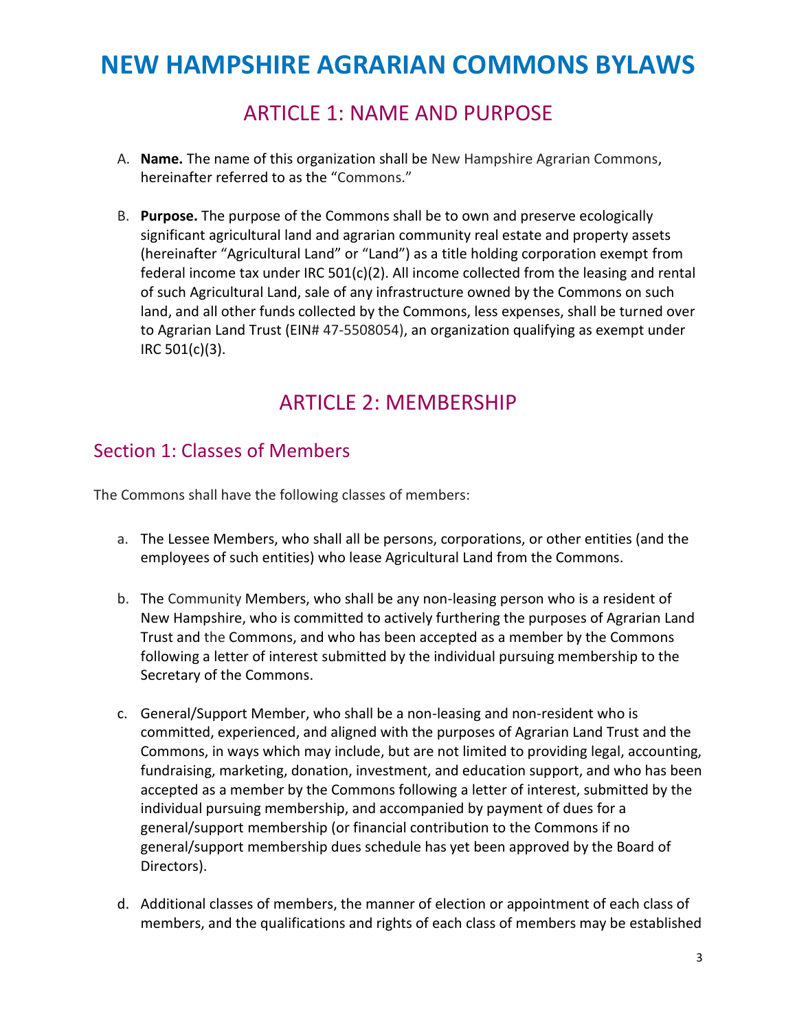## ARTICLE 1: NAME AND PURPOSE

- <span id="page-2-0"></span>A. **Name.** The name of this organization shall be New Hampshire Agrarian Commons, hereinafter referred to as the "Commons."
- B. **Purpose.** The purpose of the Commons shall be to own and preserve ecologically significant agricultural land and agrarian community real estate and property assets (hereinafter "Agricultural Land" or "Land") as a title holding corporation exempt from federal income tax under IRC  $501(c)(2)$ . All income collected from the leasing and rental of such Agricultural Land, sale of any infrastructure owned by the Commons on such land, and all other funds collected by the Commons, less expenses, shall be turned over to Agrarian Land Trust (EIN# 47-5508054), an organization qualifying as exempt under IRC 501(c)(3).

## ARTICLE 2: MEMBERSHIP

### <span id="page-2-1"></span>Section 1: Classes of Members

The Commons shall have the following classes of members:

- a. The Lessee Members, who shall all be persons, corporations, or other entities (and the employees of such entities) who lease Agricultural Land from the Commons.
- b. The Community Members, who shall be any non-leasing person who is a resident of New Hampshire, who is committed to actively furthering the purposes of Agrarian Land Trust and the Commons, and who has been accepted as a member by the Commons following a letter of interest submitted by the individual pursuing membership to the Secretary of the Commons.
- c. General/Support Member, who shall be a non-leasing and non-resident who is committed, experienced, and aligned with the purposes of Agrarian Land Trust and the Commons, in ways which may include, but are not limited to providing legal, accounting, fundraising, marketing, donation, investment, and education support, and who has been accepted as a member by the Commons following a letter of interest, submitted by the individual pursuing membership, and accompanied by payment of dues for a general/support membership (or financial contribution to the Commons if no general/support membership dues schedule has yet been approved by the Board of Directors).
- d. Additional classes of members, the manner of election or appointment of each class of members, and the qualifications and rights of each class of members may be established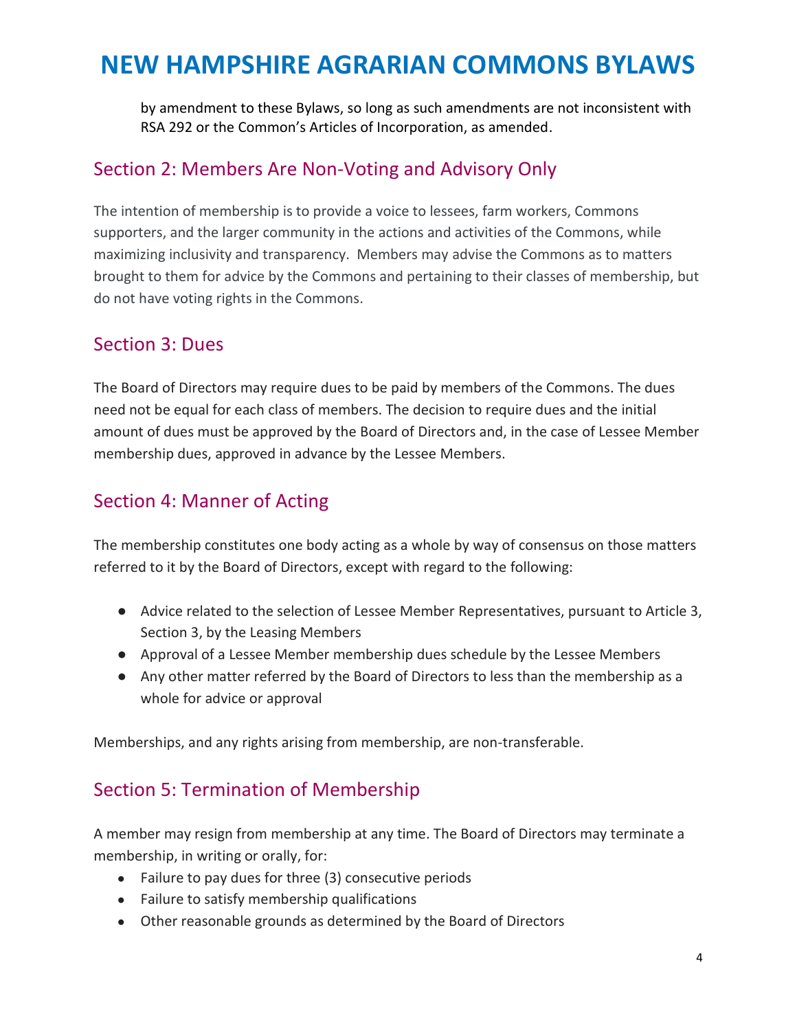by amendment to these Bylaws, so long as such amendments are not inconsistent with RSA 292 or the Common's Articles of Incorporation, as amended.

### <span id="page-3-0"></span>Section 2: Members Are Non-Voting and Advisory Only

The intention of membership is to provide a voice to lessees, farm workers, Commons supporters, and the larger community in the actions and activities of the Commons, while maximizing inclusivity and transparency. Members may advise the Commons as to matters brought to them for advice by the Commons and pertaining to their classes of membership, but do not have voting rights in the Commons.

#### Section 3: Dues

The Board of Directors may require dues to be paid by members of the Commons. The dues need not be equal for each class of members. The decision to require dues and the initial amount of dues must be approved by the Board of Directors and, in the case of Lessee Member membership dues, approved in advance by the Lessee Members.

## <span id="page-3-1"></span>Section 4: Manner of Acting

The membership constitutes one body acting as a whole by way of consensus on those matters referred to it by the Board of Directors, except with regard to the following:

- Advice related to the selection of Lessee Member Representatives, pursuant to Article 3, Section 3, by the Leasing Members
- Approval of a Lessee Member membership dues schedule by the Lessee Members
- Any other matter referred by the Board of Directors to less than the membership as a whole for advice or approval

Memberships, and any rights arising from membership, are non-transferable.

## <span id="page-3-2"></span>Section 5: Termination of Membership

A member may resign from membership at any time. The Board of Directors may terminate a membership, in writing or orally, for:

- Failure to pay dues for three (3) consecutive periods
- Failure to satisfy membership qualifications
- Other reasonable grounds as determined by the Board of Directors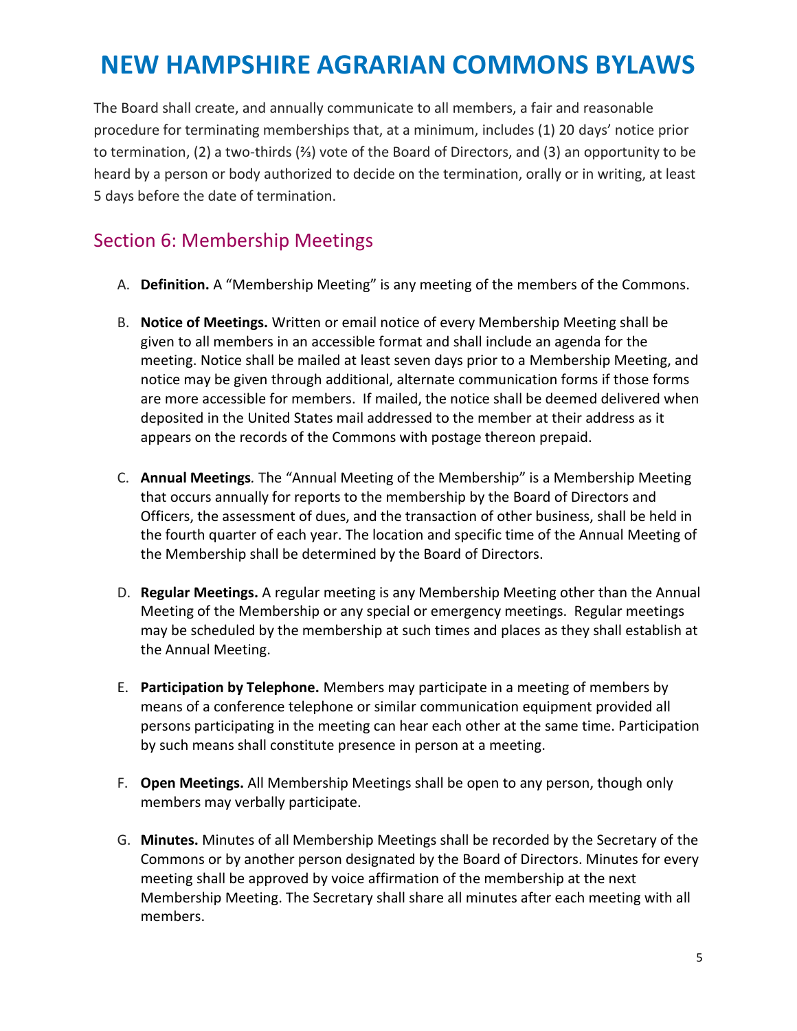The Board shall create, and annually communicate to all members, a fair and reasonable procedure for terminating memberships that, at a minimum, includes (1) 20 days' notice prior to termination, (2) a two-thirds (⅔) vote of the Board of Directors, and (3) an opportunity to be heard by a person or body authorized to decide on the termination, orally or in writing, at least 5 days before the date of termination.

### <span id="page-4-0"></span>Section 6: Membership Meetings

- A. **Definition.** A "Membership Meeting" is any meeting of the members of the Commons.
- B. **Notice of Meetings.** Written or email notice of every Membership Meeting shall be given to all members in an accessible format and shall include an agenda for the meeting. Notice shall be mailed at least seven days prior to a Membership Meeting, and notice may be given through additional, alternate communication forms if those forms are more accessible for members. If mailed, the notice shall be deemed delivered when deposited in the United States mail addressed to the member at their address as it appears on the records of the Commons with postage thereon prepaid.
- C. **Annual Meetings***.* The "Annual Meeting of the Membership" is a Membership Meeting that occurs annually for reports to the membership by the Board of Directors and Officers, the assessment of dues, and the transaction of other business, shall be held in the fourth quarter of each year. The location and specific time of the Annual Meeting of the Membership shall be determined by the Board of Directors.
- D. **Regular Meetings.** A regular meeting is any Membership Meeting other than the Annual Meeting of the Membership or any special or emergency meetings. Regular meetings may be scheduled by the membership at such times and places as they shall establish at the Annual Meeting.
- E. **Participation by Telephone.** Members may participate in a meeting of members by means of a conference telephone or similar communication equipment provided all persons participating in the meeting can hear each other at the same time. Participation by such means shall constitute presence in person at a meeting.
- F. **Open Meetings.** All Membership Meetings shall be open to any person, though only members may verbally participate.
- G. **Minutes.** Minutes of all Membership Meetings shall be recorded by the Secretary of the Commons or by another person designated by the Board of Directors. Minutes for every meeting shall be approved by voice affirmation of the membership at the next Membership Meeting. The Secretary shall share all minutes after each meeting with all members.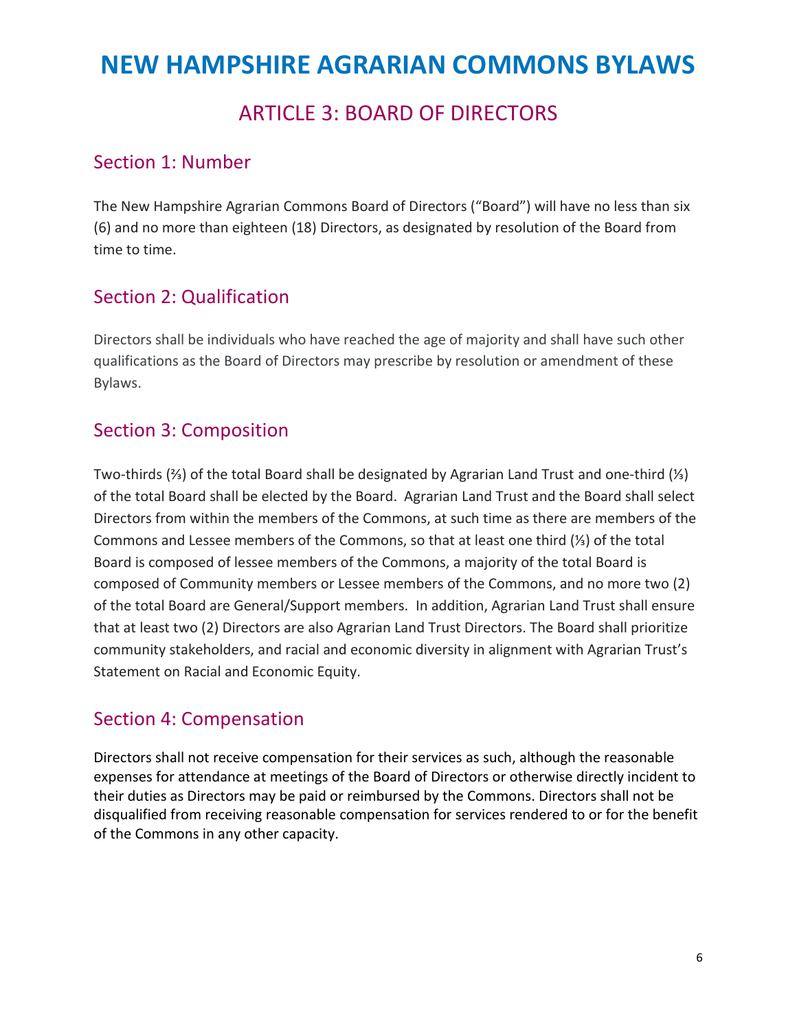## ARTICLE 3: BOARD OF DIRECTORS

## <span id="page-5-1"></span><span id="page-5-0"></span>Section 1: Number

The New Hampshire Agrarian Commons Board of Directors ("Board") will have no less than six (6) and no more than eighteen (18) Directors, as designated by resolution of the Board from time to time.

## Section 2: Qualification

Directors shall be individuals who have reached the age of majority and shall have such other qualifications as the Board of Directors may prescribe by resolution or amendment of these Bylaws.

## <span id="page-5-2"></span>Section 3: Composition

Two-thirds (⅔) of the total Board shall be designated by Agrarian Land Trust and one-third (⅓) of the total Board shall be elected by the Board. Agrarian Land Trust and the Board shall select Directors from within the members of the Commons, at such time as there are members of the Commons and Lessee members of the Commons, so that at least one third (⅓) of the total Board is composed of lessee members of the Commons, a majority of the total Board is composed of Community members or Lessee members of the Commons, and no more two (2) of the total Board are General/Support members. In addition, Agrarian Land Trust shall ensure that at least two (2) Directors are also Agrarian Land Trust Directors. The Board shall prioritize community stakeholders, and racial and economic diversity in alignment with Agrarian Trust's Statement on Racial and Economic Equity.

## Section 4: Compensation

Directors shall not receive compensation for their services as such, although the reasonable expenses for attendance at meetings of the Board of Directors or otherwise directly incident to their duties as Directors may be paid or reimbursed by the Commons. Directors shall not be disqualified from receiving reasonable compensation for services rendered to or for the benefit of the Commons in any other capacity.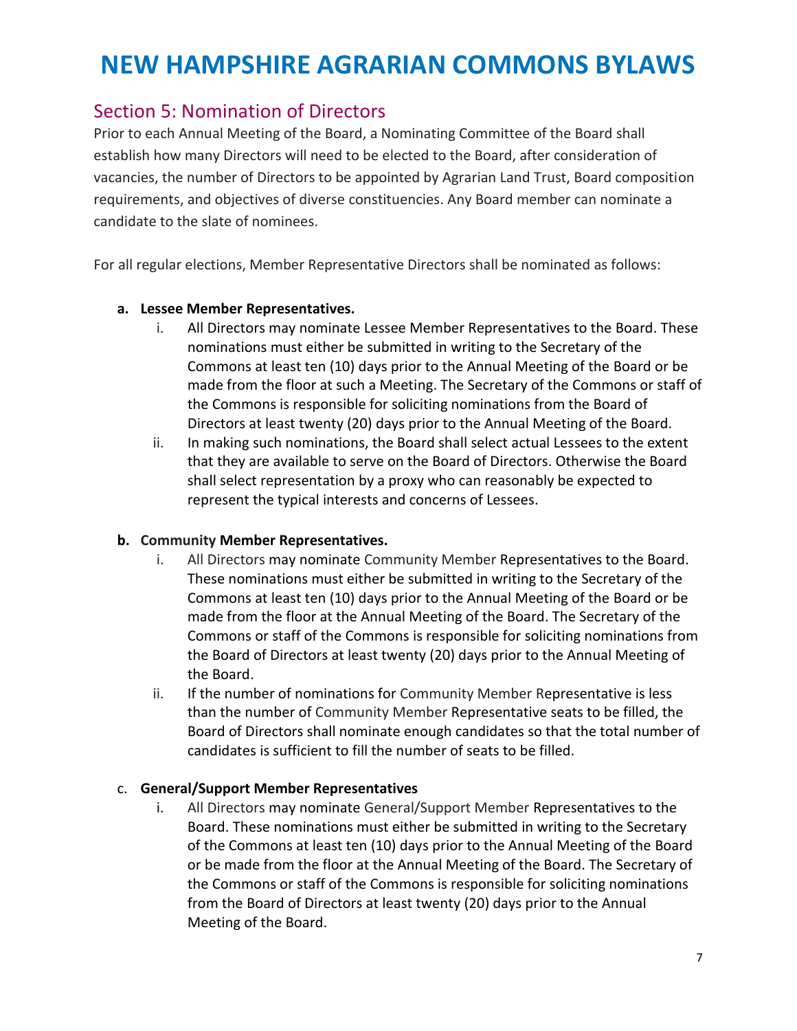#### Section 5: Nomination of Directors

Prior to each Annual Meeting of the Board, a Nominating Committee of the Board shall establish how many Directors will need to be elected to the Board, after consideration of vacancies, the number of Directors to be appointed by Agrarian Land Trust, Board composition requirements, and objectives of diverse constituencies. Any Board member can nominate a candidate to the slate of nominees.

For all regular elections, Member Representative Directors shall be nominated as follows:

#### **a. Lessee Member Representatives.**

- i. All Directors may nominate Lessee Member Representatives to the Board. These nominations must either be submitted in writing to the Secretary of the Commons at least ten (10) days prior to the Annual Meeting of the Board or be made from the floor at such a Meeting. The Secretary of the Commons or staff of the Commons is responsible for soliciting nominations from the Board of Directors at least twenty (20) days prior to the Annual Meeting of the Board.
- ii. In making such nominations, the Board shall select actual Lessees to the extent that they are available to serve on the Board of Directors. Otherwise the Board shall select representation by a proxy who can reasonably be expected to represent the typical interests and concerns of Lessees.

#### **b. Community Member Representatives.**

- i. All Directors may nominate Community Member Representatives to the Board. These nominations must either be submitted in writing to the Secretary of the Commons at least ten (10) days prior to the Annual Meeting of the Board or be made from the floor at the Annual Meeting of the Board. The Secretary of the Commons or staff of the Commons is responsible for soliciting nominations from the Board of Directors at least twenty (20) days prior to the Annual Meeting of the Board.
- ii. If the number of nominations for Community Member Representative is less than the number of Community Member Representative seats to be filled, the Board of Directors shall nominate enough candidates so that the total number of candidates is sufficient to fill the number of seats to be filled.

#### c. **General/Support Member Representatives**

i. All Directors may nominate General/Support Member Representatives to the Board. These nominations must either be submitted in writing to the Secretary of the Commons at least ten (10) days prior to the Annual Meeting of the Board or be made from the floor at the Annual Meeting of the Board. The Secretary of the Commons or staff of the Commons is responsible for soliciting nominations from the Board of Directors at least twenty (20) days prior to the Annual Meeting of the Board.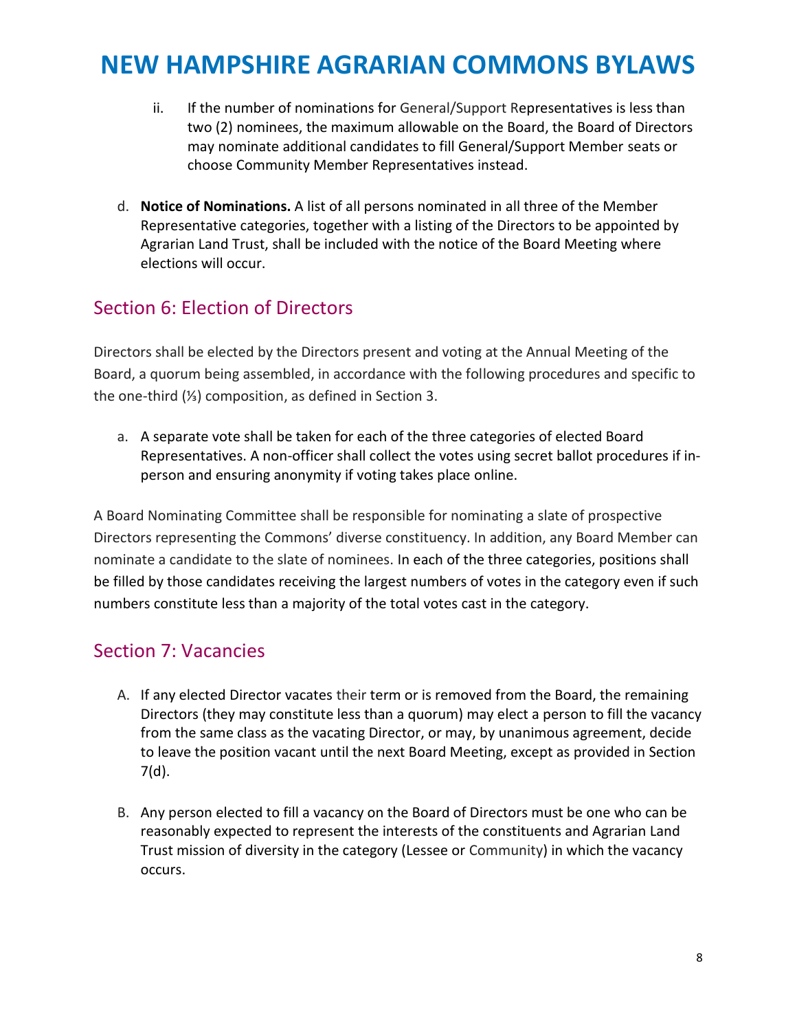- ii. If the number of nominations for General/Support Representatives is less than two (2) nominees, the maximum allowable on the Board, the Board of Directors may nominate additional candidates to fill General/Support Member seats or choose Community Member Representatives instead.
- d. **Notice of Nominations.** A list of all persons nominated in all three of the Member Representative categories, together with a listing of the Directors to be appointed by Agrarian Land Trust, shall be included with the notice of the Board Meeting where elections will occur.

### <span id="page-7-0"></span>Section 6: Election of Directors

Directors shall be elected by the Directors present and voting at the Annual Meeting of the Board, a quorum being assembled, in accordance with the following procedures and specific to the one-third (⅓) composition, as defined in Section 3.

a. A separate vote shall be taken for each of the three categories of elected Board Representatives. A non-officer shall collect the votes using secret ballot procedures if inperson and ensuring anonymity if voting takes place online.

A Board Nominating Committee shall be responsible for nominating a slate of prospective Directors representing the Commons' diverse constituency. In addition, any Board Member can nominate a candidate to the slate of nominees. In each of the three categories, positions shall be filled by those candidates receiving the largest numbers of votes in the category even if such numbers constitute less than a majority of the total votes cast in the category.

#### <span id="page-7-1"></span>Section 7: Vacancies

- A. If any elected Director vacates their term or is removed from the Board, the remaining Directors (they may constitute less than a quorum) may elect a person to fill the vacancy from the same class as the vacating Director, or may, by unanimous agreement, decide to leave the position vacant until the next Board Meeting, except as provided in Section 7(d).
- B. Any person elected to fill a vacancy on the Board of Directors must be one who can be reasonably expected to represent the interests of the constituents and Agrarian Land Trust mission of diversity in the category (Lessee or Community) in which the vacancy occurs.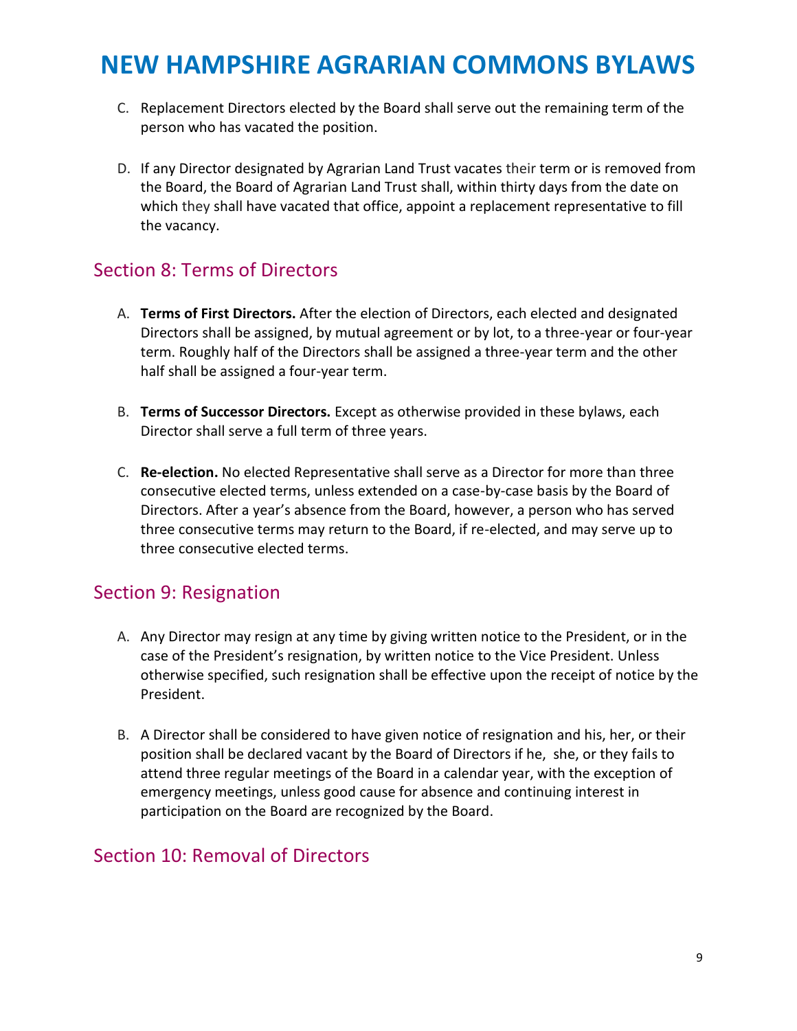- C. Replacement Directors elected by the Board shall serve out the remaining term of the person who has vacated the position.
- D. If any Director designated by Agrarian Land Trust vacates their term or is removed from the Board, the Board of Agrarian Land Trust shall, within thirty days from the date on which they shall have vacated that office, appoint a replacement representative to fill the vacancy.

## <span id="page-8-0"></span>Section 8: Terms of Directors

- A. **Terms of First Directors.** After the election of Directors, each elected and designated Directors shall be assigned, by mutual agreement or by lot, to a three-year or four-year term. Roughly half of the Directors shall be assigned a three-year term and the other half shall be assigned a four-year term.
- B. **Terms of Successor Directors.** Except as otherwise provided in these bylaws, each Director shall serve a full term of three years.
- C. **Re-election.** No elected Representative shall serve as a Director for more than three consecutive elected terms, unless extended on a case-by-case basis by the Board of Directors. After a year's absence from the Board, however, a person who has served three consecutive terms may return to the Board, if re-elected, and may serve up to three consecutive elected terms.

## <span id="page-8-1"></span>Section 9: Resignation

- A. Any Director may resign at any time by giving written notice to the President, or in the case of the President's resignation, by written notice to the Vice President. Unless otherwise specified, such resignation shall be effective upon the receipt of notice by the President.
- B. A Director shall be considered to have given notice of resignation and his, her, or their position shall be declared vacant by the Board of Directors if he, she, or they fails to attend three regular meetings of the Board in a calendar year, with the exception of emergency meetings, unless good cause for absence and continuing interest in participation on the Board are recognized by the Board.

#### <span id="page-8-2"></span>Section 10: Removal of Directors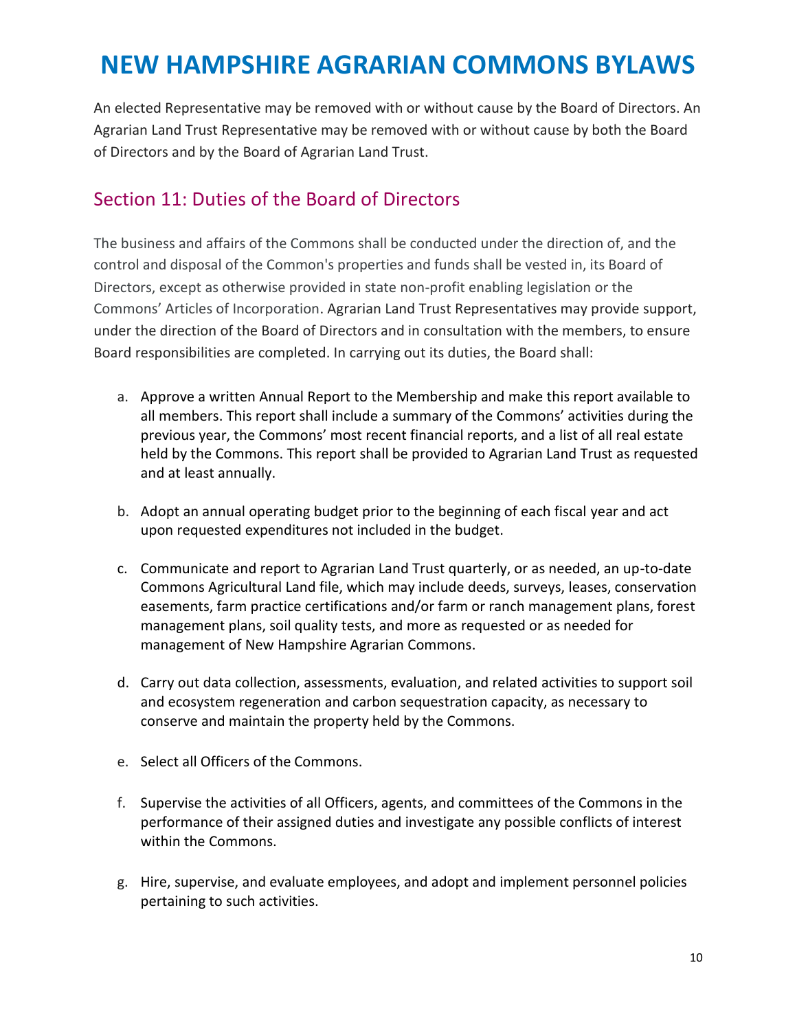An elected Representative may be removed with or without cause by the Board of Directors. An Agrarian Land Trust Representative may be removed with or without cause by both the Board of Directors and by the Board of Agrarian Land Trust.

## <span id="page-9-0"></span>Section 11: Duties of the Board of Directors

The business and affairs of the Commons shall be conducted under the direction of, and the control and disposal of the Common's properties and funds shall be vested in, its Board of Directors, except as otherwise provided in state non-profit enabling legislation or the Commons' Articles of Incorporation. Agrarian Land Trust Representatives may provide support, under the direction of the Board of Directors and in consultation with the members, to ensure Board responsibilities are completed. In carrying out its duties, the Board shall:

- a. Approve a written Annual Report to the Membership and make this report available to all members. This report shall include a summary of the Commons' activities during the previous year, the Commons' most recent financial reports, and a list of all real estate held by the Commons. This report shall be provided to Agrarian Land Trust as requested and at least annually.
- b. Adopt an annual operating budget prior to the beginning of each fiscal year and act upon requested expenditures not included in the budget.
- c. Communicate and report to Agrarian Land Trust quarterly, or as needed, an up-to-date Commons Agricultural Land file, which may include deeds, surveys, leases, conservation easements, farm practice certifications and/or farm or ranch management plans, forest management plans, soil quality tests, and more as requested or as needed for management of New Hampshire Agrarian Commons.
- d. Carry out data collection, assessments, evaluation, and related activities to support soil and ecosystem regeneration and carbon sequestration capacity, as necessary to conserve and maintain the property held by the Commons.
- e. Select all Officers of the Commons.
- f. Supervise the activities of all Officers, agents, and committees of the Commons in the performance of their assigned duties and investigate any possible conflicts of interest within the Commons.
- g. Hire, supervise, and evaluate employees, and adopt and implement personnel policies pertaining to such activities.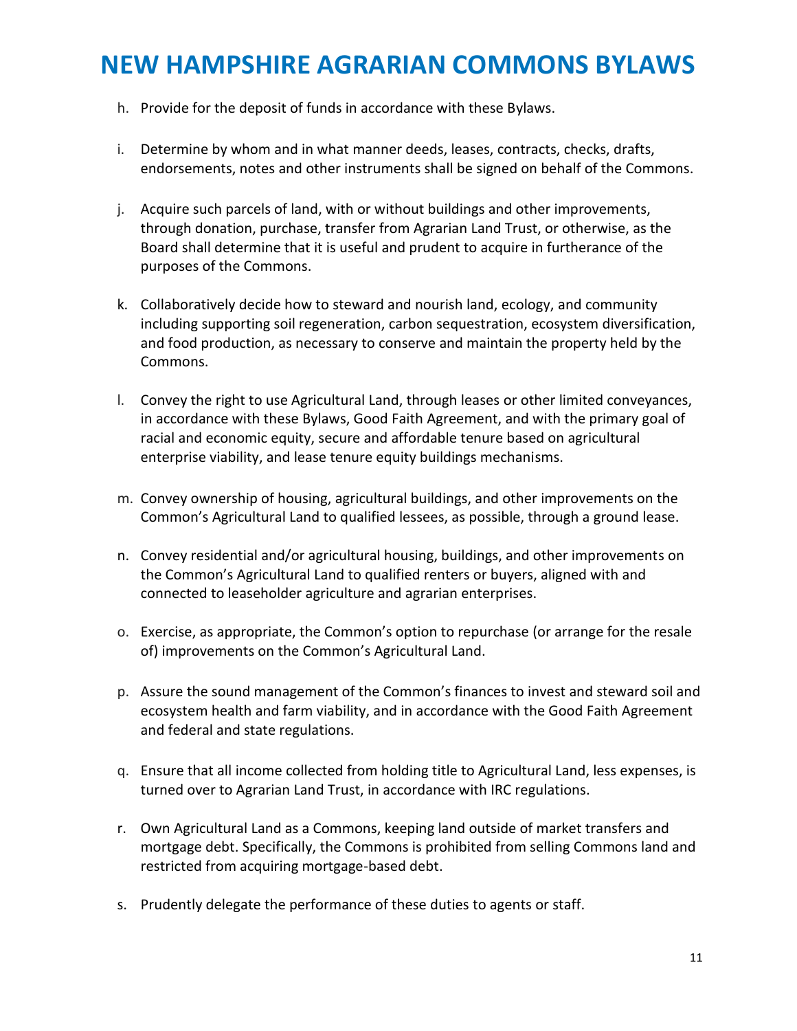- h. Provide for the deposit of funds in accordance with these Bylaws.
- i. Determine by whom and in what manner deeds, leases, contracts, checks, drafts, endorsements, notes and other instruments shall be signed on behalf of the Commons.
- j. Acquire such parcels of land, with or without buildings and other improvements, through donation, purchase, transfer from Agrarian Land Trust, or otherwise, as the Board shall determine that it is useful and prudent to acquire in furtherance of the purposes of the Commons.
- k. Collaboratively decide how to steward and nourish land, ecology, and community including supporting soil regeneration, carbon sequestration, ecosystem diversification, and food production, as necessary to conserve and maintain the property held by the Commons.
- l. Convey the right to use Agricultural Land, through leases or other limited conveyances, in accordance with these Bylaws, Good Faith Agreement, and with the primary goal of racial and economic equity, secure and affordable tenure based on agricultural enterprise viability, and lease tenure equity buildings mechanisms.
- m. Convey ownership of housing, agricultural buildings, and other improvements on the Common's Agricultural Land to qualified lessees, as possible, through a ground lease.
- n. Convey residential and/or agricultural housing, buildings, and other improvements on the Common's Agricultural Land to qualified renters or buyers, aligned with and connected to leaseholder agriculture and agrarian enterprises.
- o. Exercise, as appropriate, the Common's option to repurchase (or arrange for the resale of) improvements on the Common's Agricultural Land.
- p. Assure the sound management of the Common's finances to invest and steward soil and ecosystem health and farm viability, and in accordance with the Good Faith Agreement and federal and state regulations.
- q. Ensure that all income collected from holding title to Agricultural Land, less expenses, is turned over to Agrarian Land Trust, in accordance with IRC regulations.
- r. Own Agricultural Land as a Commons, keeping land outside of market transfers and mortgage debt. Specifically, the Commons is prohibited from selling Commons land and restricted from acquiring mortgage-based debt.
- s. Prudently delegate the performance of these duties to agents or staff.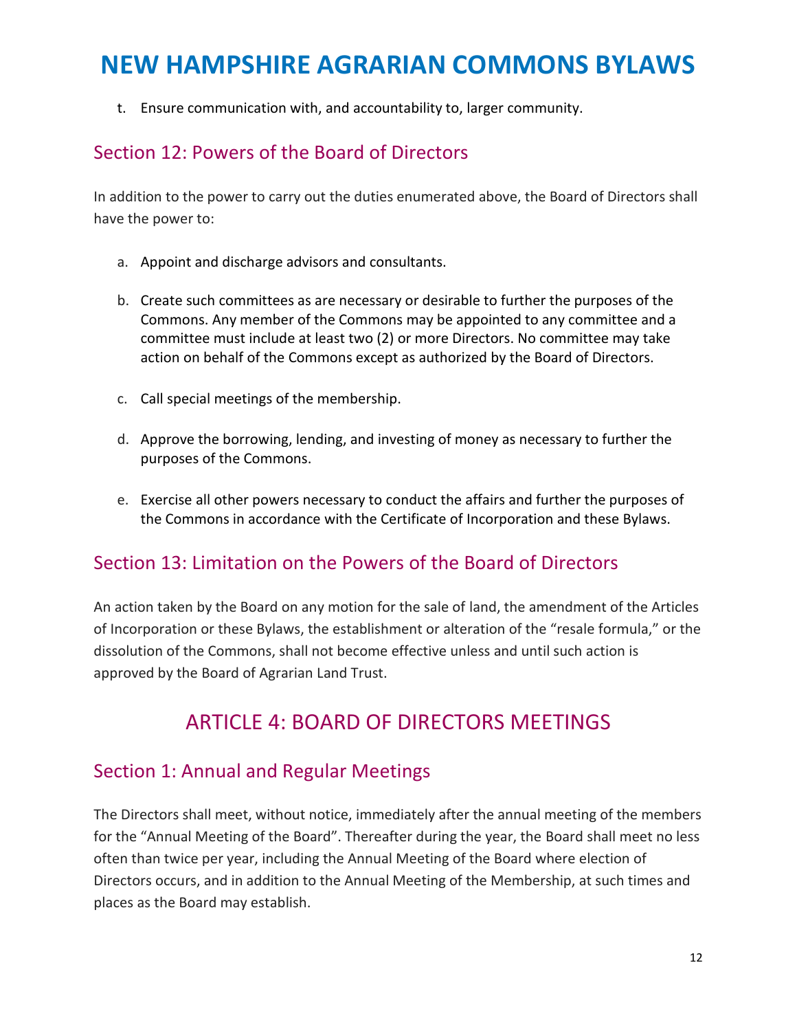t. Ensure communication with, and accountability to, larger community.

### <span id="page-11-0"></span>Section 12: Powers of the Board of Directors

In addition to the power to carry out the duties enumerated above, the Board of Directors shall have the power to:

- a. Appoint and discharge advisors and consultants.
- b. Create such committees as are necessary or desirable to further the purposes of the Commons. Any member of the Commons may be appointed to any committee and a committee must include at least two (2) or more Directors. No committee may take action on behalf of the Commons except as authorized by the Board of Directors.
- c. Call special meetings of the membership.
- d. Approve the borrowing, lending, and investing of money as necessary to further the purposes of the Commons.
- e. Exercise all other powers necessary to conduct the affairs and further the purposes of the Commons in accordance with the Certificate of Incorporation and these Bylaws.

## <span id="page-11-1"></span>Section 13: Limitation on the Powers of the Board of Directors

An action taken by the Board on any motion for the sale of land, the amendment of the Articles of Incorporation or these Bylaws, the establishment or alteration of the "resale formula," or the dissolution of the Commons, shall not become effective unless and until such action is approved by the Board of Agrarian Land Trust.

## ARTICLE 4: BOARD OF DIRECTORS MEETINGS

## <span id="page-11-3"></span><span id="page-11-2"></span>Section 1: Annual and Regular Meetings

The Directors shall meet, without notice, immediately after the annual meeting of the members for the "Annual Meeting of the Board". Thereafter during the year, the Board shall meet no less often than twice per year, including the Annual Meeting of the Board where election of Directors occurs, and in addition to the Annual Meeting of the Membership, at such times and places as the Board may establish.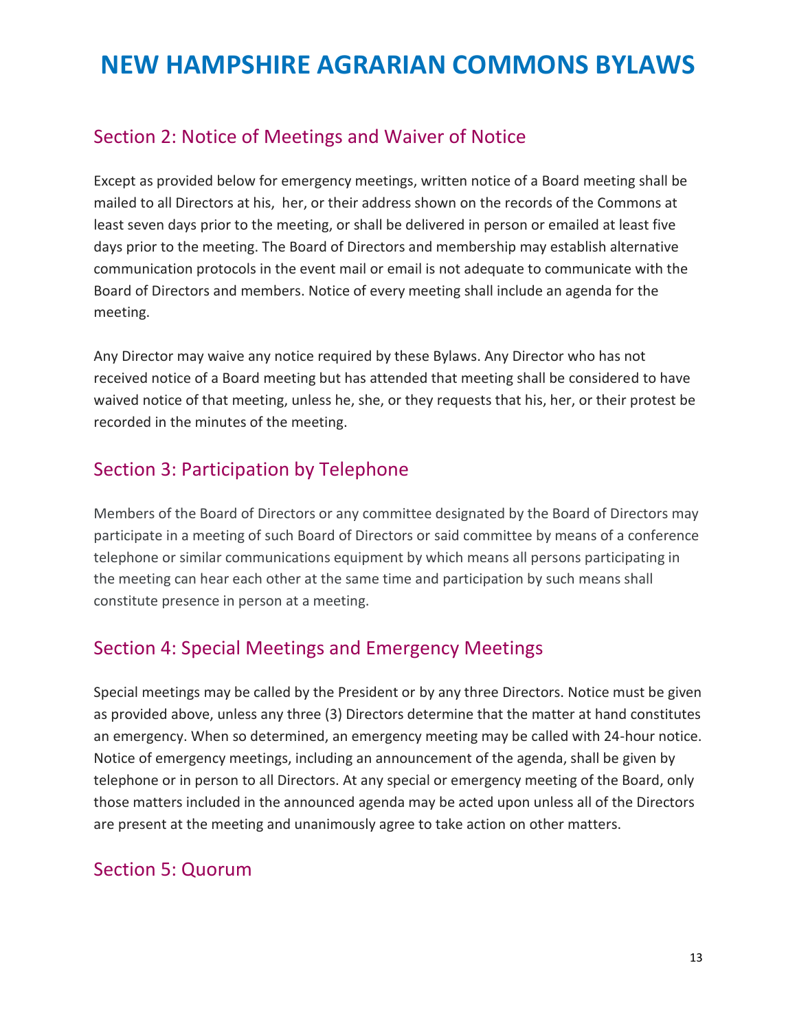## <span id="page-12-0"></span>Section 2: Notice of Meetings and Waiver of Notice

Except as provided below for emergency meetings, written notice of a Board meeting shall be mailed to all Directors at his, her, or their address shown on the records of the Commons at least seven days prior to the meeting, or shall be delivered in person or emailed at least five days prior to the meeting. The Board of Directors and membership may establish alternative communication protocols in the event mail or email is not adequate to communicate with the Board of Directors and members. Notice of every meeting shall include an agenda for the meeting.

Any Director may waive any notice required by these Bylaws. Any Director who has not received notice of a Board meeting but has attended that meeting shall be considered to have waived notice of that meeting, unless he, she, or they requests that his, her, or their protest be recorded in the minutes of the meeting.

## Section 3: Participation by Telephone

Members of the Board of Directors or any committee designated by the Board of Directors may participate in a meeting of such Board of Directors or said committee by means of a conference telephone or similar communications equipment by which means all persons participating in the meeting can hear each other at the same time and participation by such means shall constitute presence in person at a meeting.

## <span id="page-12-1"></span>Section 4: Special Meetings and Emergency Meetings

Special meetings may be called by the President or by any three Directors. Notice must be given as provided above, unless any three (3) Directors determine that the matter at hand constitutes an emergency. When so determined, an emergency meeting may be called with 24-hour notice. Notice of emergency meetings, including an announcement of the agenda, shall be given by telephone or in person to all Directors. At any special or emergency meeting of the Board, only those matters included in the announced agenda may be acted upon unless all of the Directors are present at the meeting and unanimously agree to take action on other matters.

## Section 5: Quorum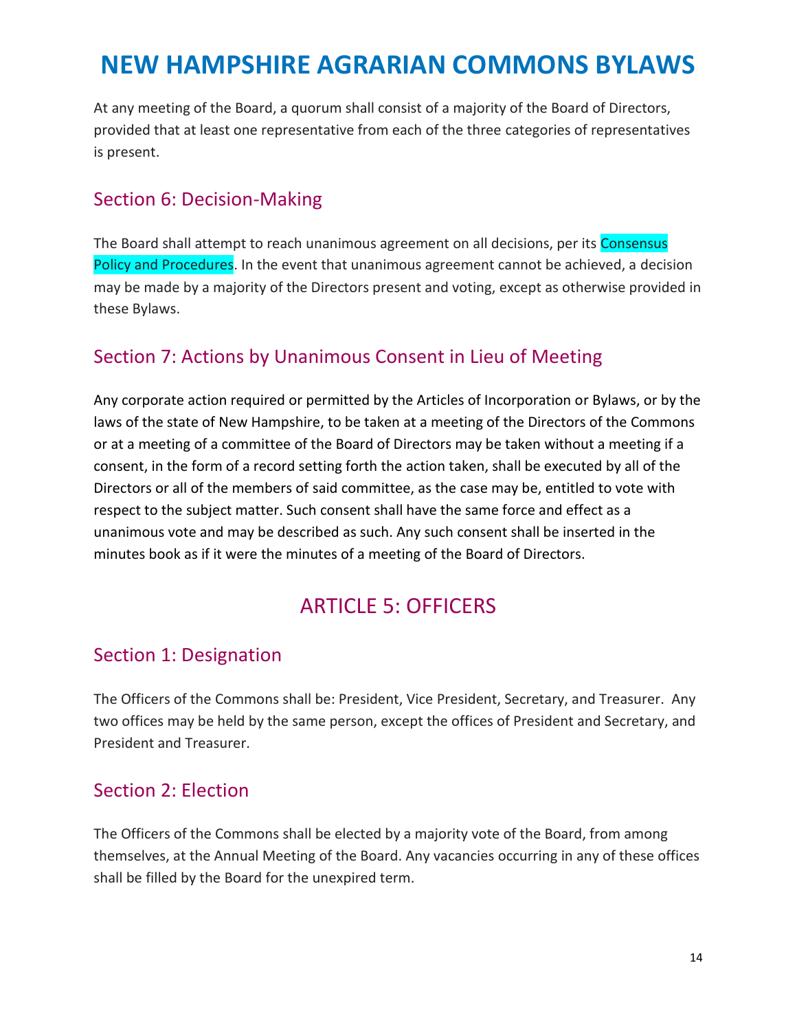At any meeting of the Board, a quorum shall consist of a majority of the Board of Directors, provided that at least one representative from each of the three categories of representatives is present.

### <span id="page-13-0"></span>Section 6: Decision-Making

The Board shall attempt to reach unanimous agreement on all decisions, per its Consensus Policy and Procedures. In the event that unanimous agreement cannot be achieved, a decision may be made by a majority of the Directors present and voting, except as otherwise provided in these Bylaws.

## Section 7: Actions by Unanimous Consent in Lieu of Meeting

Any corporate action required or permitted by the Articles of Incorporation or Bylaws, or by the laws of the state of New Hampshire, to be taken at a meeting of the Directors of the Commons or at a meeting of a committee of the Board of Directors may be taken without a meeting if a consent, in the form of a record setting forth the action taken, shall be executed by all of the Directors or all of the members of said committee, as the case may be, entitled to vote with respect to the subject matter. Such consent shall have the same force and effect as a unanimous vote and may be described as such. Any such consent shall be inserted in the minutes book as if it were the minutes of a meeting of the Board of Directors.

## ARTICLE 5: OFFICERS

## <span id="page-13-2"></span><span id="page-13-1"></span>Section 1: Designation

The Officers of the Commons shall be: President, Vice President, Secretary, and Treasurer. Any two offices may be held by the same person, except the offices of President and Secretary, and President and Treasurer.

### <span id="page-13-3"></span>Section 2: Election

The Officers of the Commons shall be elected by a majority vote of the Board, from among themselves, at the Annual Meeting of the Board. Any vacancies occurring in any of these offices shall be filled by the Board for the unexpired term.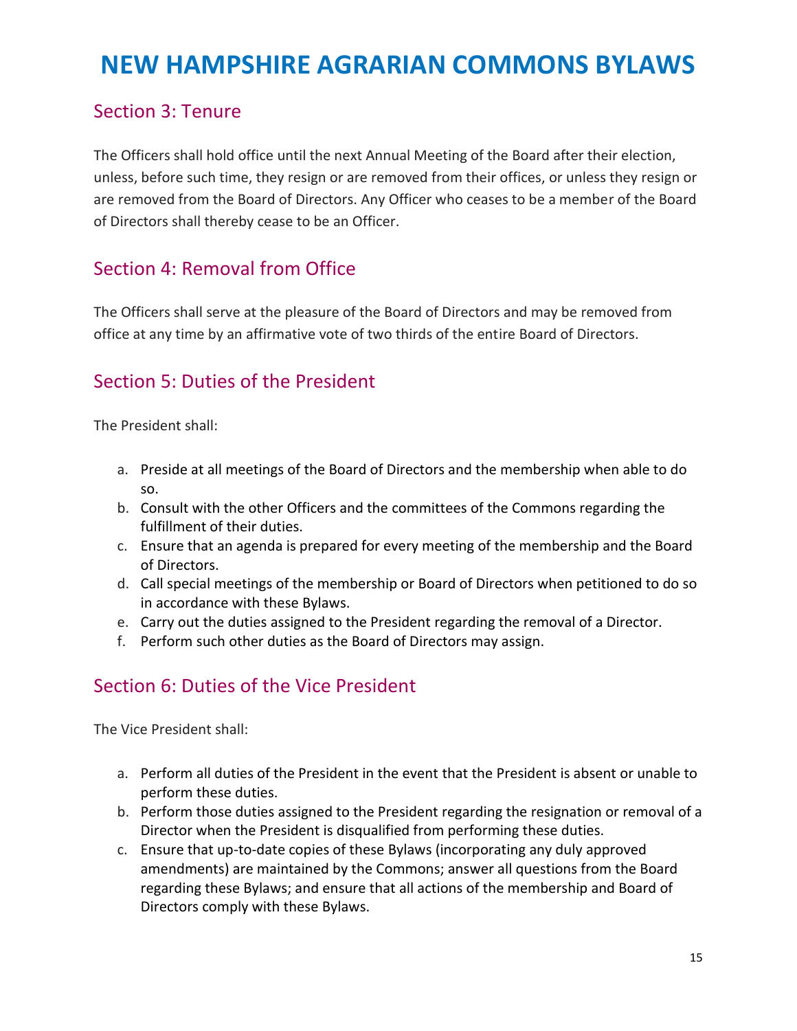### <span id="page-14-0"></span>Section 3: Tenure

The Officers shall hold office until the next Annual Meeting of the Board after their election, unless, before such time, they resign or are removed from their offices, or unless they resign or are removed from the Board of Directors. Any Officer who ceases to be a member of the Board of Directors shall thereby cease to be an Officer.

## <span id="page-14-1"></span>Section 4: Removal from Office

The Officers shall serve at the pleasure of the Board of Directors and may be removed from office at any time by an affirmative vote of two thirds of the entire Board of Directors.

## <span id="page-14-2"></span>Section 5: Duties of the President

The President shall:

- a. Preside at all meetings of the Board of Directors and the membership when able to do so.
- b. Consult with the other Officers and the committees of the Commons regarding the fulfillment of their duties.
- c. Ensure that an agenda is prepared for every meeting of the membership and the Board of Directors.
- d. Call special meetings of the membership or Board of Directors when petitioned to do so in accordance with these Bylaws.
- e. Carry out the duties assigned to the President regarding the removal of a Director.
- f. Perform such other duties as the Board of Directors may assign.

## <span id="page-14-3"></span>Section 6: Duties of the Vice President

The Vice President shall:

- a. Perform all duties of the President in the event that the President is absent or unable to perform these duties.
- b. Perform those duties assigned to the President regarding the resignation or removal of a Director when the President is disqualified from performing these duties.
- c. Ensure that up-to-date copies of these Bylaws (incorporating any duly approved amendments) are maintained by the Commons; answer all questions from the Board regarding these Bylaws; and ensure that all actions of the membership and Board of Directors comply with these Bylaws.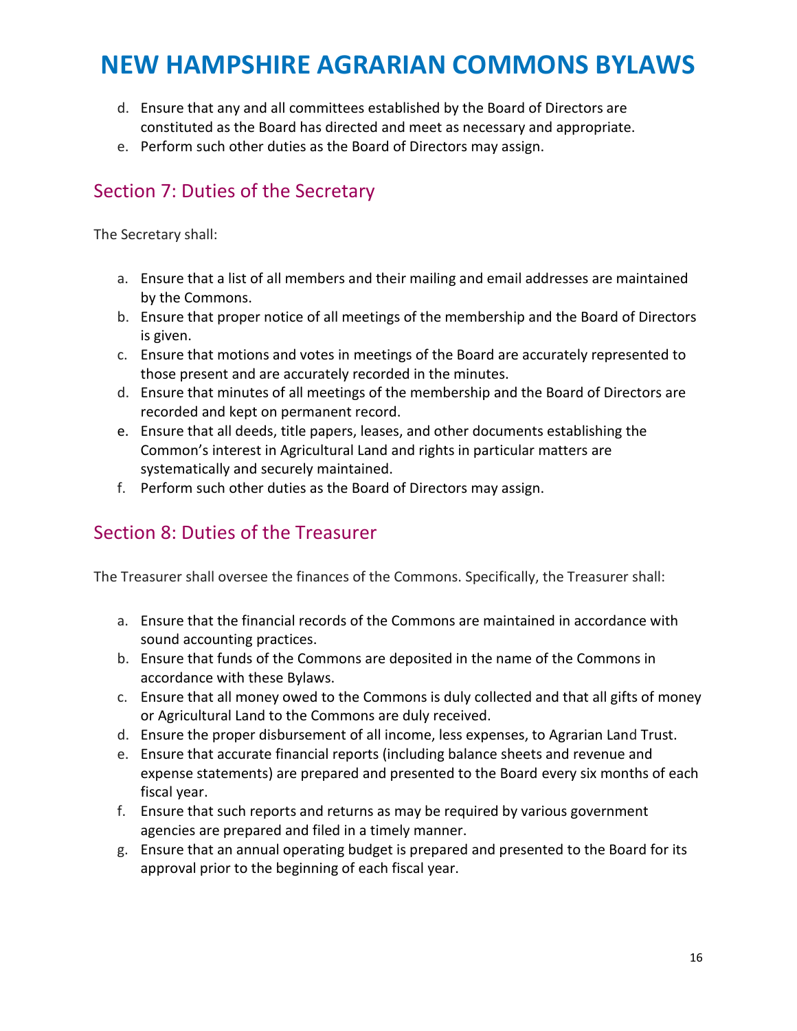- d. Ensure that any and all committees established by the Board of Directors are constituted as the Board has directed and meet as necessary and appropriate.
- e. Perform such other duties as the Board of Directors may assign.

## <span id="page-15-0"></span>Section 7: Duties of the Secretary

The Secretary shall:

- a. Ensure that a list of all members and their mailing and email addresses are maintained by the Commons.
- b. Ensure that proper notice of all meetings of the membership and the Board of Directors is given.
- c. Ensure that motions and votes in meetings of the Board are accurately represented to those present and are accurately recorded in the minutes.
- d. Ensure that minutes of all meetings of the membership and the Board of Directors are recorded and kept on permanent record.
- e. Ensure that all deeds, title papers, leases, and other documents establishing the Common's interest in Agricultural Land and rights in particular matters are systematically and securely maintained.
- f. Perform such other duties as the Board of Directors may assign.

## <span id="page-15-1"></span>Section 8: Duties of the Treasurer

The Treasurer shall oversee the finances of the Commons. Specifically, the Treasurer shall:

- a. Ensure that the financial records of the Commons are maintained in accordance with sound accounting practices.
- b. Ensure that funds of the Commons are deposited in the name of the Commons in accordance with these Bylaws.
- c. Ensure that all money owed to the Commons is duly collected and that all gifts of money or Agricultural Land to the Commons are duly received.
- d. Ensure the proper disbursement of all income, less expenses, to Agrarian Land Trust.
- e. Ensure that accurate financial reports (including balance sheets and revenue and expense statements) are prepared and presented to the Board every six months of each fiscal year.
- f. Ensure that such reports and returns as may be required by various government agencies are prepared and filed in a timely manner.
- g. Ensure that an annual operating budget is prepared and presented to the Board for its approval prior to the beginning of each fiscal year.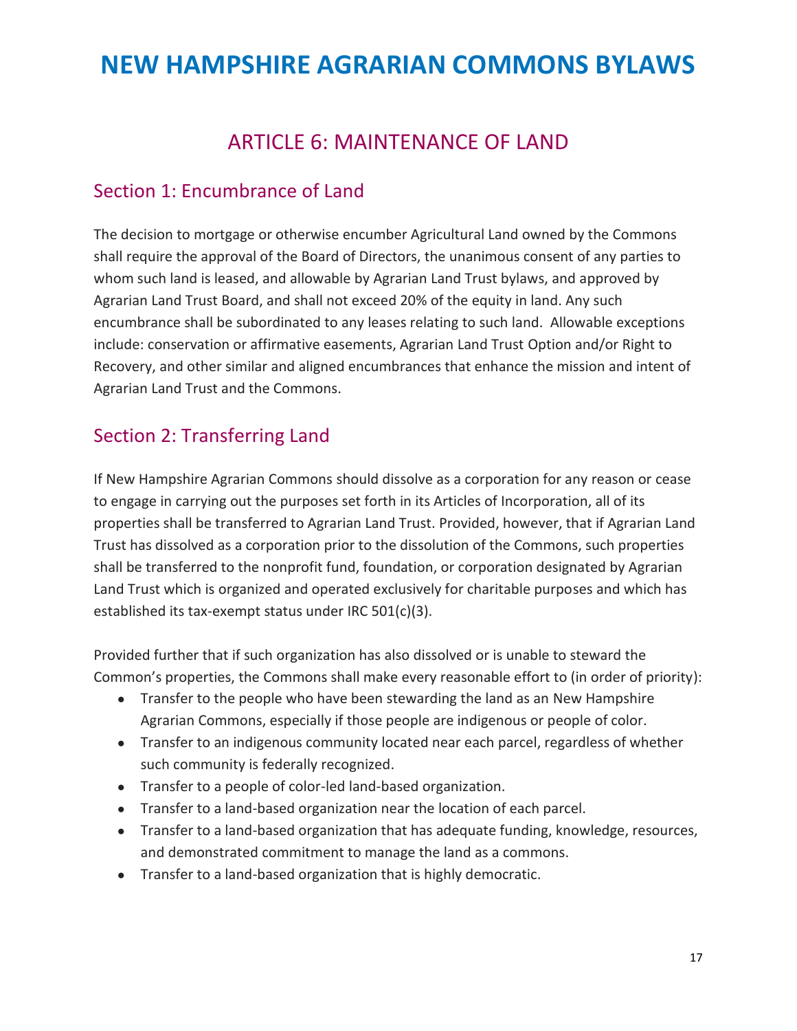## ARTICLE 6: MAINTENANCE OF LAND

#### <span id="page-16-1"></span><span id="page-16-0"></span>Section 1: Encumbrance of Land

The decision to mortgage or otherwise encumber Agricultural Land owned by the Commons shall require the approval of the Board of Directors, the unanimous consent of any parties to whom such land is leased, and allowable by Agrarian Land Trust bylaws, and approved by Agrarian Land Trust Board, and shall not exceed 20% of the equity in land. Any such encumbrance shall be subordinated to any leases relating to such land. Allowable exceptions include: conservation or affirmative easements, Agrarian Land Trust Option and/or Right to Recovery, and other similar and aligned encumbrances that enhance the mission and intent of Agrarian Land Trust and the Commons.

## <span id="page-16-2"></span>Section 2: Transferring Land

If New Hampshire Agrarian Commons should dissolve as a corporation for any reason or cease to engage in carrying out the purposes set forth in its Articles of Incorporation, all of its properties shall be transferred to Agrarian Land Trust. Provided, however, that if Agrarian Land Trust has dissolved as a corporation prior to the dissolution of the Commons, such properties shall be transferred to the nonprofit fund, foundation, or corporation designated by Agrarian Land Trust which is organized and operated exclusively for charitable purposes and which has established its tax-exempt status under IRC 501(c)(3).

Provided further that if such organization has also dissolved or is unable to steward the Common's properties, the Commons shall make every reasonable effort to (in order of priority):

- Transfer to the people who have been stewarding the land as an New Hampshire Agrarian Commons, especially if those people are indigenous or people of color.
- Transfer to an indigenous community located near each parcel, regardless of whether such community is federally recognized.
- Transfer to a people of color-led land-based organization.
- Transfer to a land-based organization near the location of each parcel.
- Transfer to a land-based organization that has adequate funding, knowledge, resources, and demonstrated commitment to manage the land as a commons.
- Transfer to a land-based organization that is highly democratic.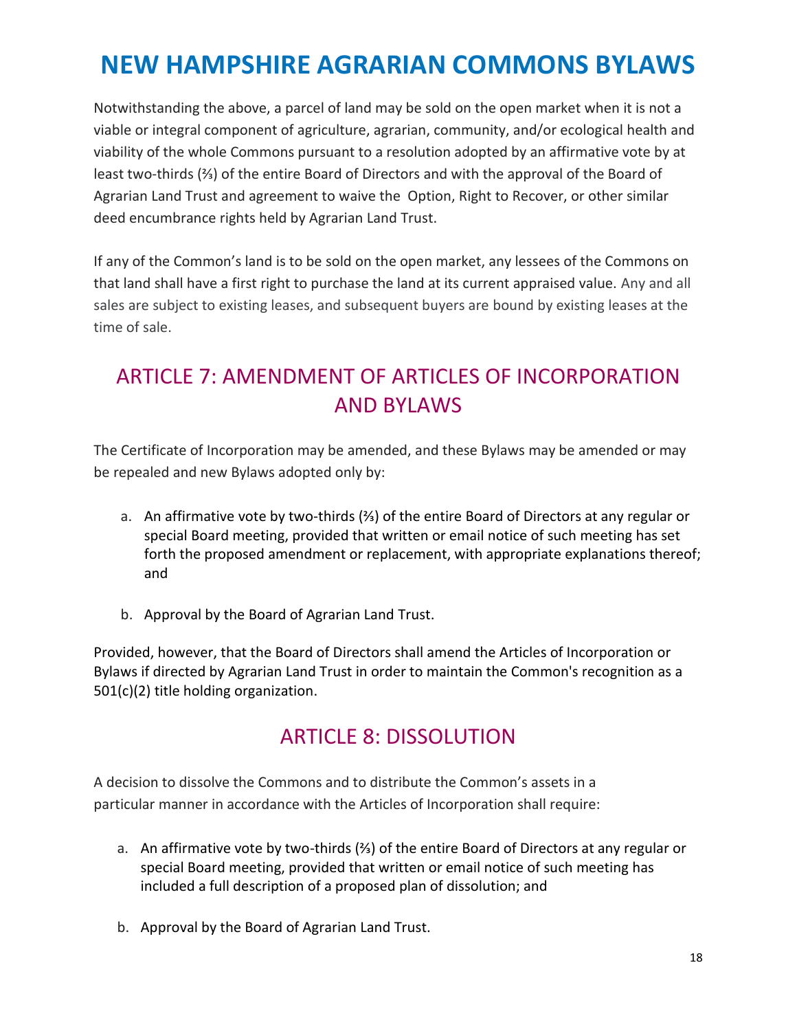Notwithstanding the above, a parcel of land may be sold on the open market when it is not a viable or integral component of agriculture, agrarian, community, and/or ecological health and viability of the whole Commons pursuant to a resolution adopted by an affirmative vote by at least two-thirds (⅔) of the entire Board of Directors and with the approval of the Board of Agrarian Land Trust and agreement to waive the Option, Right to Recover, or other similar deed encumbrance rights held by Agrarian Land Trust.

If any of the Common's land is to be sold on the open market, any lessees of the Commons on that land shall have a first right to purchase the land at its current appraised value. Any and all sales are subject to existing leases, and subsequent buyers are bound by existing leases at the time of sale.

## <span id="page-17-0"></span>ARTICLE 7: AMENDMENT OF ARTICLES OF INCORPORATION AND BYLAWS

The Certificate of Incorporation may be amended, and these Bylaws may be amended or may be repealed and new Bylaws adopted only by:

- a. An affirmative vote by two-thirds (⅔) of the entire Board of Directors at any regular or special Board meeting, provided that written or email notice of such meeting has set forth the proposed amendment or replacement, with appropriate explanations thereof; and
- b. Approval by the Board of Agrarian Land Trust.

Provided, however, that the Board of Directors shall amend the Articles of Incorporation or Bylaws if directed by Agrarian Land Trust in order to maintain the Common's recognition as a 501(c)(2) title holding organization.

## ARTICLE 8: DISSOLUTION

<span id="page-17-1"></span>A decision to dissolve the Commons and to distribute the Common's assets in a particular manner in accordance with the Articles of Incorporation shall require:

- a. An affirmative vote by two-thirds (⅔) of the entire Board of Directors at any regular or special Board meeting, provided that written or email notice of such meeting has included a full description of a proposed plan of dissolution; and
- b. Approval by the Board of Agrarian Land Trust.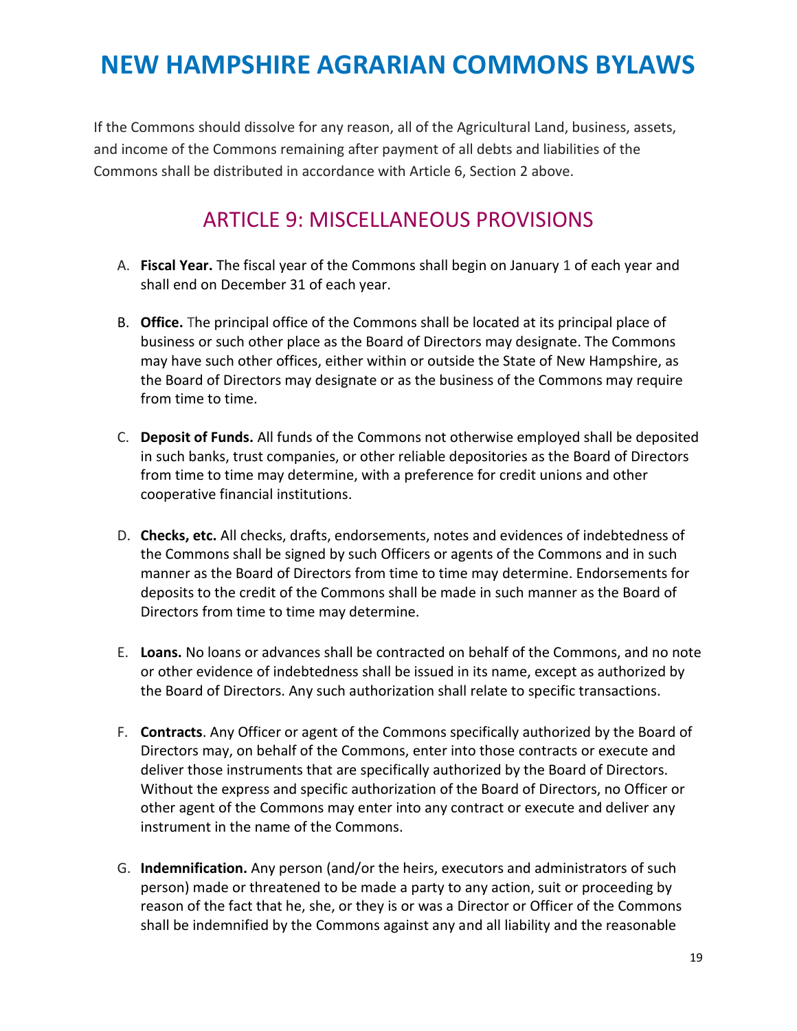If the Commons should dissolve for any reason, all of the Agricultural Land, business, assets, and income of the Commons remaining after payment of all debts and liabilities of the Commons shall be distributed in accordance with Article 6, Section 2 above.

## ARTICLE 9: MISCELLANEOUS PROVISIONS

- <span id="page-18-0"></span>A. **Fiscal Year.** The fiscal year of the Commons shall begin on January 1 of each year and shall end on December 31 of each year.
- B. **Office.** The principal office of the Commons shall be located at its principal place of business or such other place as the Board of Directors may designate. The Commons may have such other offices, either within or outside the State of New Hampshire, as the Board of Directors may designate or as the business of the Commons may require from time to time.
- C. **Deposit of Funds.** All funds of the Commons not otherwise employed shall be deposited in such banks, trust companies, or other reliable depositories as the Board of Directors from time to time may determine, with a preference for credit unions and other cooperative financial institutions.
- D. **Checks, etc.** All checks, drafts, endorsements, notes and evidences of indebtedness of the Commons shall be signed by such Officers or agents of the Commons and in such manner as the Board of Directors from time to time may determine. Endorsements for deposits to the credit of the Commons shall be made in such manner as the Board of Directors from time to time may determine.
- E. **Loans.** No loans or advances shall be contracted on behalf of the Commons, and no note or other evidence of indebtedness shall be issued in its name, except as authorized by the Board of Directors. Any such authorization shall relate to specific transactions.
- F. **Contracts**. Any Officer or agent of the Commons specifically authorized by the Board of Directors may, on behalf of the Commons, enter into those contracts or execute and deliver those instruments that are specifically authorized by the Board of Directors. Without the express and specific authorization of the Board of Directors, no Officer or other agent of the Commons may enter into any contract or execute and deliver any instrument in the name of the Commons.
- G. **Indemnification.** Any person (and/or the heirs, executors and administrators of such person) made or threatened to be made a party to any action, suit or proceeding by reason of the fact that he, she, or they is or was a Director or Officer of the Commons shall be indemnified by the Commons against any and all liability and the reasonable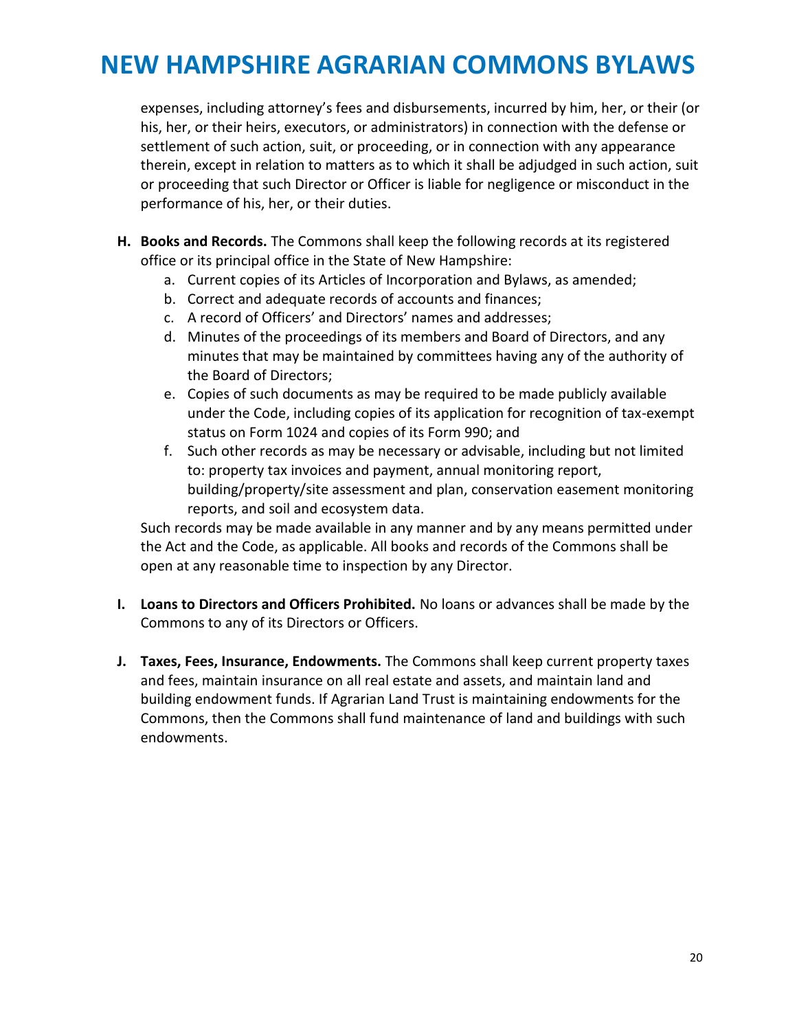expenses, including attorney's fees and disbursements, incurred by him, her, or their (or his, her, or their heirs, executors, or administrators) in connection with the defense or settlement of such action, suit, or proceeding, or in connection with any appearance therein, except in relation to matters as to which it shall be adjudged in such action, suit or proceeding that such Director or Officer is liable for negligence or misconduct in the performance of his, her, or their duties.

- **H. Books and Records.** The Commons shall keep the following records at its registered office or its principal office in the State of New Hampshire:
	- a. Current copies of its Articles of Incorporation and Bylaws, as amended;
	- b. Correct and adequate records of accounts and finances;
	- c. A record of Officers' and Directors' names and addresses;
	- d. Minutes of the proceedings of its members and Board of Directors, and any minutes that may be maintained by committees having any of the authority of the Board of Directors;
	- e. Copies of such documents as may be required to be made publicly available under the Code, including copies of its application for recognition of tax-exempt status on Form 1024 and copies of its Form 990; and
	- f. Such other records as may be necessary or advisable, including but not limited to: property tax invoices and payment, annual monitoring report, building/property/site assessment and plan, conservation easement monitoring reports, and soil and ecosystem data.

Such records may be made available in any manner and by any means permitted under the Act and the Code, as applicable. All books and records of the Commons shall be open at any reasonable time to inspection by any Director.

- **I. Loans to Directors and Officers Prohibited.** No loans or advances shall be made by the Commons to any of its Directors or Officers.
- **J. Taxes, Fees, Insurance, Endowments.** The Commons shall keep current property taxes and fees, maintain insurance on all real estate and assets, and maintain land and building endowment funds. If Agrarian Land Trust is maintaining endowments for the Commons, then the Commons shall fund maintenance of land and buildings with such endowments.